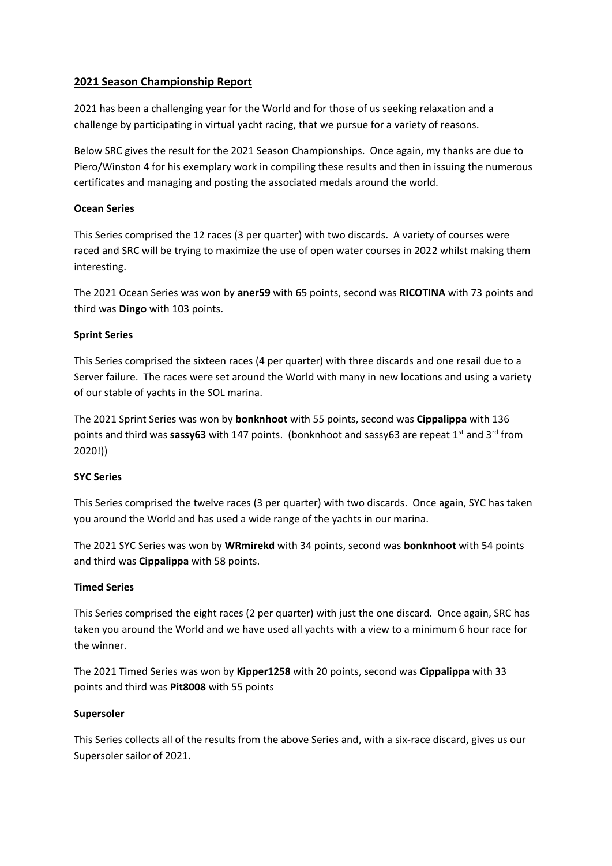# **2021 Season Championship Report**

2021 has been a challenging year for the World and for those of us seeking relaxation and a challenge by participating in virtual yacht racing, that we pursue for a variety of reasons.

Below SRC gives the result for the 2021 Season Championships. Once again, my thanks are due to Piero/Winston 4 for his exemplary work in compiling these results and then in issuing the numerous certificates and managing and posting the associated medals around the world.

## **Ocean Series**

This Series comprised the 12 races (3 per quarter) with two discards. A variety of courses were raced and SRC will be trying to maximize the use of open water courses in 2022 whilst making them interesting.

The 2021 Ocean Series was won by **aner59** with 65 points, second was **RICOTINA** with 73 points and third was **Dingo** with 103 points.

## **Sprint Series**

This Series comprised the sixteen races (4 per quarter) with three discards and one resail due to a Server failure. The races were set around the World with many in new locations and using a variety of our stable of yachts in the SOL marina.

The 2021 Sprint Series was won by **bonknhoot** with 55 points, second was **Cippalippa** with 136 points and third was **sassy63** with 147 points. (bonknhoot and sassy63 are repeat 1<sup>st</sup> and 3<sup>rd</sup> from 2020!))

## **SYC Series**

This Series comprised the twelve races (3 per quarter) with two discards. Once again, SYC has taken you around the World and has used a wide range of the yachts in our marina.

The 2021 SYC Series was won by **WRmirekd** with 34 points, second was **bonknhoot** with 54 points and third was **Cippalippa** with 58 points.

## **Timed Series**

This Series comprised the eight races (2 per quarter) with just the one discard. Once again, SRC has taken you around the World and we have used all yachts with a view to a minimum 6 hour race for the winner.

The 2021 Timed Series was won by **Kipper1258** with 20 points, second was **Cippalippa** with 33 points and third was **Pit8008** with 55 points

## **Supersoler**

This Series collects all of the results from the above Series and, with a six-race discard, gives us our Supersoler sailor of 2021.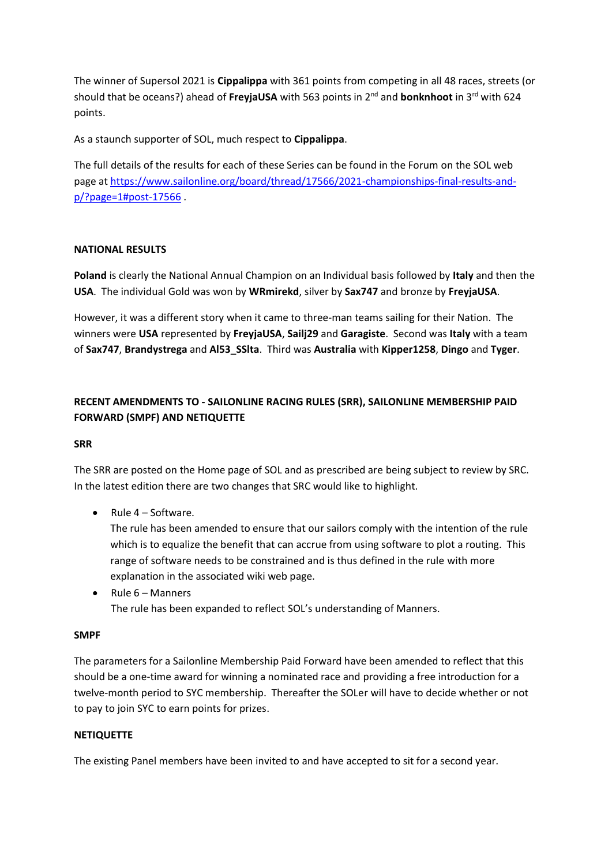The winner of Supersol 2021 is **Cippalippa** with 361 points from competing in all 48 races, streets (or should that be oceans?) ahead of **FreyjaUSA** with 563 points in 2<sup>nd</sup> and **bonknhoot** in 3<sup>rd</sup> with 624 points.

As a staunch supporter of SOL, much respect to **Cippalippa**.

The full details of the results for each of these Series can be found in the Forum on the SOL web page at [https://www.sailonline.org/board/thread/17566/2021-championships-final-results-and](https://www.sailonline.org/board/thread/17566/2021-championships-final-results-and-p/?page=1#post-17566)[p/?page=1#post-17566](https://www.sailonline.org/board/thread/17566/2021-championships-final-results-and-p/?page=1#post-17566) .

## **NATIONAL RESULTS**

**Poland** is clearly the National Annual Champion on an Individual basis followed by **Italy** and then the **USA**. The individual Gold was won by **WRmirekd**, silver by **Sax747** and bronze by **FreyjaUSA**.

However, it was a different story when it came to three-man teams sailing for their Nation. The winners were **USA** represented by **FreyjaUSA**, **Sailj29** and **Garagiste**. Second was **Italy** with a team of **Sax747**, **Brandystrega** and **Al53\_SSlta**. Third was **Australia** with **Kipper1258**, **Dingo** and **Tyger**.

# **RECENT AMENDMENTS TO - SAILONLINE RACING RULES (SRR), SAILONLINE MEMBERSHIP PAID FORWARD (SMPF) AND NETIQUETTE**

## **SRR**

The SRR are posted on the Home page of SOL and as prescribed are being subject to review by SRC. In the latest edition there are two changes that SRC would like to highlight.

• Rule 4 – Software.

The rule has been amended to ensure that our sailors comply with the intention of the rule which is to equalize the benefit that can accrue from using software to plot a routing. This range of software needs to be constrained and is thus defined in the rule with more explanation in the associated wiki web page.

• Rule 6 – Manners The rule has been expanded to reflect SOL's understanding of Manners.

## **SMPF**

The parameters for a Sailonline Membership Paid Forward have been amended to reflect that this should be a one-time award for winning a nominated race and providing a free introduction for a twelve-month period to SYC membership. Thereafter the SOLer will have to decide whether or not to pay to join SYC to earn points for prizes.

## **NETIQUETTE**

The existing Panel members have been invited to and have accepted to sit for a second year.